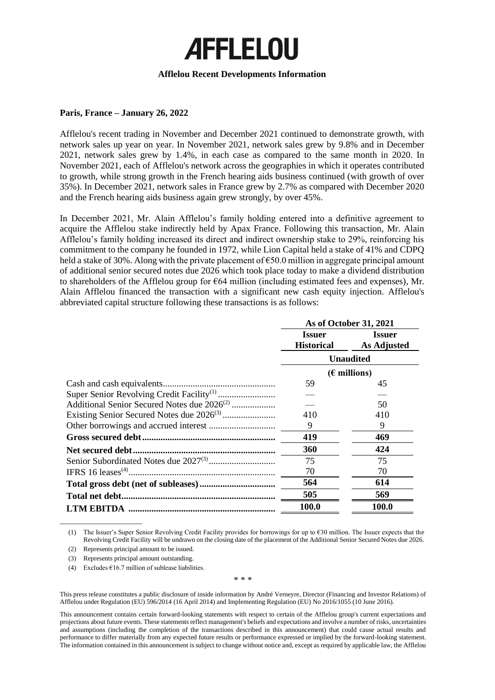# **AFFLELOU**

## **Afflelou Recent Developments Information**

## **Paris, France – January 26, 2022**

Afflelou's recent trading in November and December 2021 continued to demonstrate growth, with network sales up year on year. In November 2021, network sales grew by 9.8% and in December 2021, network sales grew by 1.4%, in each case as compared to the same month in 2020. In November 2021, each of Afflelou's network across the geographies in which it operates contributed to growth, while strong growth in the French hearing aids business continued (with growth of over 35%). In December 2021, network sales in France grew by 2.7% as compared with December 2020 and the French hearing aids business again grew strongly, by over 45%.

In December 2021, Mr. Alain Afflelou's family holding entered into a definitive agreement to acquire the Afflelou stake indirectly held by Apax France. Following this transaction, Mr. Alain Afflelou's family holding increased its direct and indirect ownership stake to 29%, reinforcing his commitment to the company he founded in 1972, while Lion Capital held a stake of 41% and CDPQ held a stake of 30%. Along with the private placement of €50.0 million in aggregate principal amount of additional senior secured notes due 2026 which took place today to make a dividend distribution to shareholders of the Afflelou group for  $664$  million (including estimated fees and expenses), Mr. Alain Afflelou financed the transaction with a significant new cash equity injection. Afflelou's abbreviated capital structure following these transactions is as follows:

|                                                         | As of October 31, 2021 |                    |
|---------------------------------------------------------|------------------------|--------------------|
|                                                         | <b>Issuer</b>          | <b>Issuer</b>      |
|                                                         | <b>Historical</b>      | <b>As Adjusted</b> |
|                                                         | <b>Unaudited</b>       |                    |
|                                                         | $(E$ millions)         |                    |
|                                                         | 59                     | 45                 |
|                                                         |                        |                    |
| Additional Senior Secured Notes due 2026 <sup>(2)</sup> |                        | 50                 |
|                                                         | 410                    | 410                |
|                                                         | 9                      | 9                  |
|                                                         | 419                    | 469                |
|                                                         | 360                    | 424                |
|                                                         | 75                     | 75                 |
|                                                         | 70                     | 70                 |
|                                                         | 564                    | 614                |
| Total net debt                                          | 505                    | 569                |
|                                                         | 100.0                  | 100.0              |

(1) The Issuer's Super Senior Revolving Credit Facility provides for borrowings for up to €30 million. The Issuer expects that the Revolving Credit Facility will be undrawn on the closing date of the placement of the Additional Senior Secured Notes due 2026.

(2) Represents principal amount to be issued.

\_\_\_\_\_\_\_\_\_\_\_\_\_\_\_\_\_\_\_\_\_\_

(3) Represents principal amount outstanding.

(4) Excludes  $\epsilon$ 16.7 million of sublease liabilities.

#### \* \* \*

This press release constitutes a public disclosure of inside information by André Verneyre, Director (Financing and Investor Relations) of Afflelou under Regulation (EU) 596/2014 (16 April 2014) and Implementing Regulation (EU) No 2016/1055 (10 June 2016).

This announcement contains certain forward-looking statements with respect to certain of the Afflelou group's current expectations and projections about future events. These statements reflect management's beliefs and expectations and involve a number of risks, uncertainties and assumptions (including the completion of the transactions described in this announcement) that could cause actual results and performance to differ materially from any expected future results or performance expressed or implied by the forward-looking statement. The information contained in this announcement is subject to change without notice and, except as required by applicable law, the Afflelou